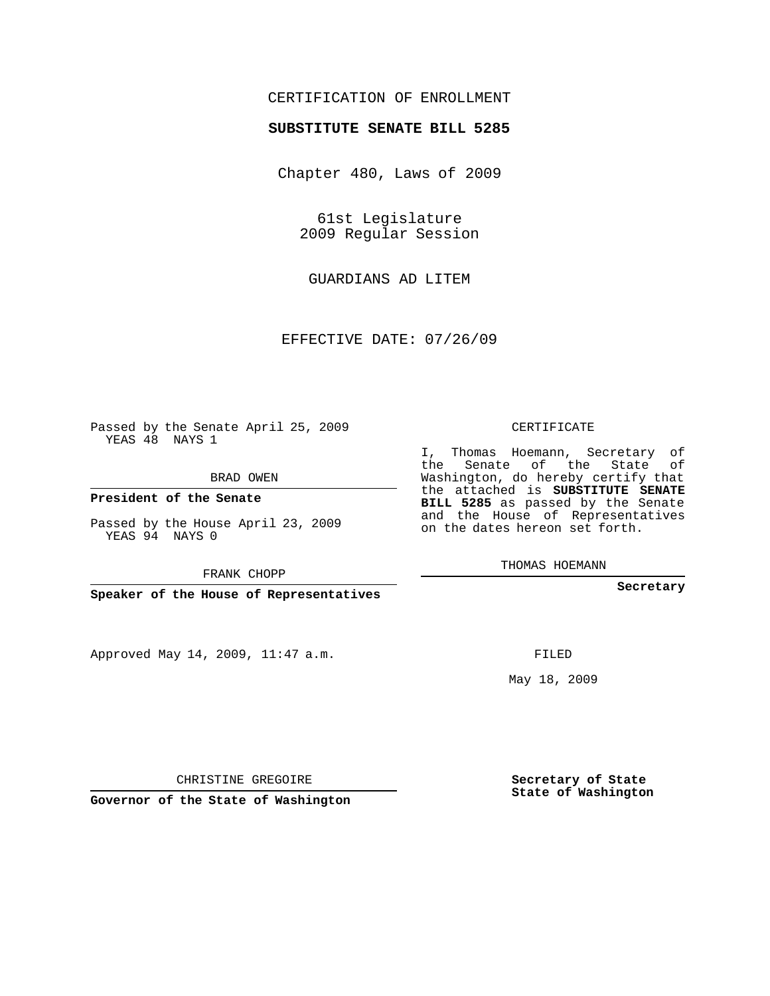## CERTIFICATION OF ENROLLMENT

## **SUBSTITUTE SENATE BILL 5285**

Chapter 480, Laws of 2009

61st Legislature 2009 Regular Session

GUARDIANS AD LITEM

EFFECTIVE DATE: 07/26/09

Passed by the Senate April 25, 2009 YEAS 48 NAYS 1

BRAD OWEN

**President of the Senate**

Passed by the House April 23, 2009 YEAS 94 NAYS 0

FRANK CHOPP

**Speaker of the House of Representatives**

Approved May 14, 2009, 11:47 a.m.

## CERTIFICATE

I, Thomas Hoemann, Secretary of the Senate of the State of Washington, do hereby certify that the attached is **SUBSTITUTE SENATE BILL 5285** as passed by the Senate and the House of Representatives on the dates hereon set forth.

THOMAS HOEMANN

**Secretary**

FILED

May 18, 2009

**Secretary of State State of Washington**

CHRISTINE GREGOIRE

**Governor of the State of Washington**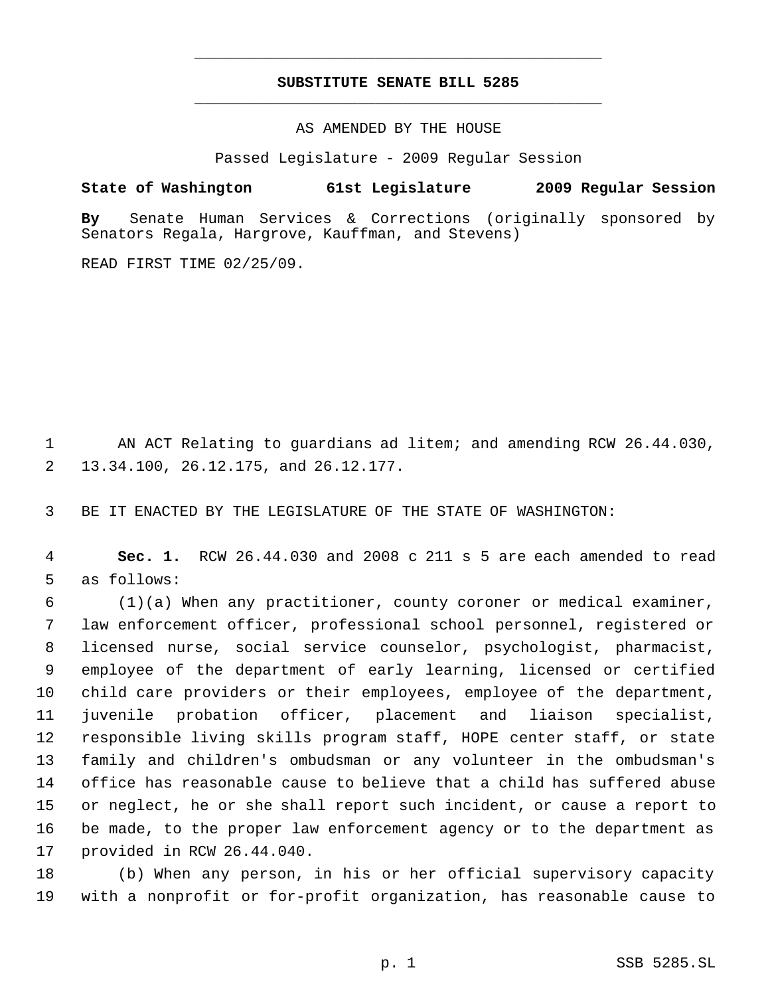## **SUBSTITUTE SENATE BILL 5285** \_\_\_\_\_\_\_\_\_\_\_\_\_\_\_\_\_\_\_\_\_\_\_\_\_\_\_\_\_\_\_\_\_\_\_\_\_\_\_\_\_\_\_\_\_

\_\_\_\_\_\_\_\_\_\_\_\_\_\_\_\_\_\_\_\_\_\_\_\_\_\_\_\_\_\_\_\_\_\_\_\_\_\_\_\_\_\_\_\_\_

AS AMENDED BY THE HOUSE

Passed Legislature - 2009 Regular Session

**State of Washington 61st Legislature 2009 Regular Session**

**By** Senate Human Services & Corrections (originally sponsored by Senators Regala, Hargrove, Kauffman, and Stevens)

READ FIRST TIME 02/25/09.

 AN ACT Relating to guardians ad litem; and amending RCW 26.44.030, 13.34.100, 26.12.175, and 26.12.177.

BE IT ENACTED BY THE LEGISLATURE OF THE STATE OF WASHINGTON:

 **Sec. 1.** RCW 26.44.030 and 2008 c 211 s 5 are each amended to read as follows:

 (1)(a) When any practitioner, county coroner or medical examiner, law enforcement officer, professional school personnel, registered or licensed nurse, social service counselor, psychologist, pharmacist, employee of the department of early learning, licensed or certified child care providers or their employees, employee of the department, juvenile probation officer, placement and liaison specialist, responsible living skills program staff, HOPE center staff, or state family and children's ombudsman or any volunteer in the ombudsman's office has reasonable cause to believe that a child has suffered abuse or neglect, he or she shall report such incident, or cause a report to be made, to the proper law enforcement agency or to the department as provided in RCW 26.44.040.

 (b) When any person, in his or her official supervisory capacity with a nonprofit or for-profit organization, has reasonable cause to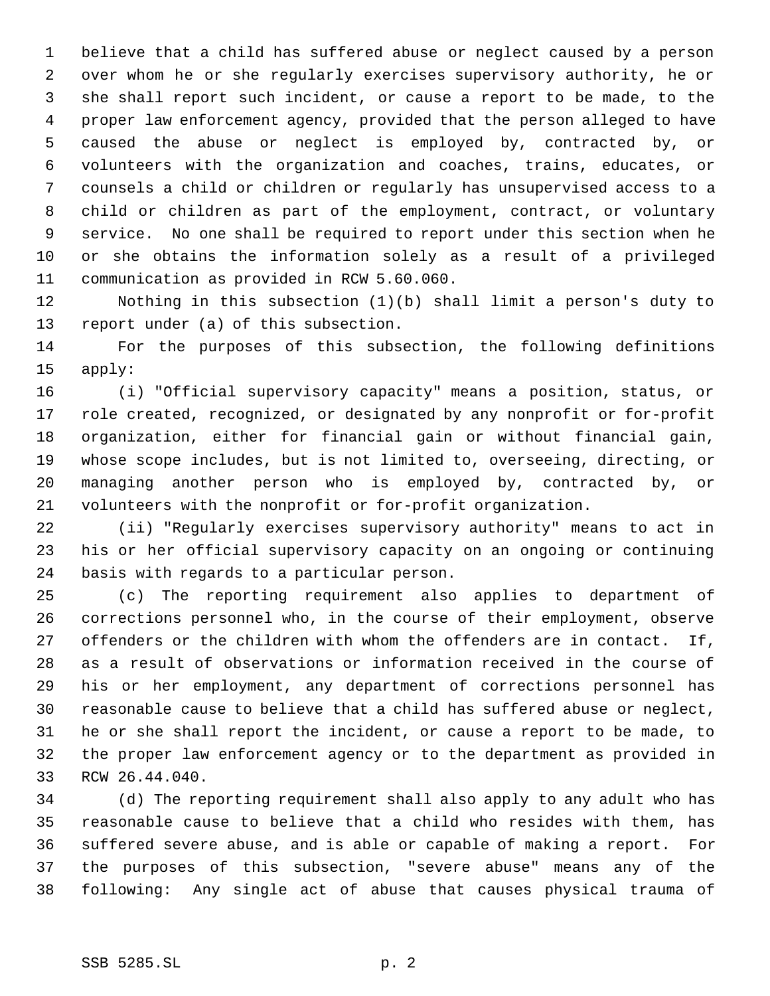believe that a child has suffered abuse or neglect caused by a person over whom he or she regularly exercises supervisory authority, he or she shall report such incident, or cause a report to be made, to the proper law enforcement agency, provided that the person alleged to have caused the abuse or neglect is employed by, contracted by, or volunteers with the organization and coaches, trains, educates, or counsels a child or children or regularly has unsupervised access to a child or children as part of the employment, contract, or voluntary service. No one shall be required to report under this section when he or she obtains the information solely as a result of a privileged communication as provided in RCW 5.60.060.

 Nothing in this subsection (1)(b) shall limit a person's duty to report under (a) of this subsection.

 For the purposes of this subsection, the following definitions apply:

 (i) "Official supervisory capacity" means a position, status, or role created, recognized, or designated by any nonprofit or for-profit organization, either for financial gain or without financial gain, whose scope includes, but is not limited to, overseeing, directing, or managing another person who is employed by, contracted by, or volunteers with the nonprofit or for-profit organization.

 (ii) "Regularly exercises supervisory authority" means to act in his or her official supervisory capacity on an ongoing or continuing basis with regards to a particular person.

 (c) The reporting requirement also applies to department of corrections personnel who, in the course of their employment, observe offenders or the children with whom the offenders are in contact. If, as a result of observations or information received in the course of his or her employment, any department of corrections personnel has reasonable cause to believe that a child has suffered abuse or neglect, he or she shall report the incident, or cause a report to be made, to the proper law enforcement agency or to the department as provided in RCW 26.44.040.

 (d) The reporting requirement shall also apply to any adult who has reasonable cause to believe that a child who resides with them, has suffered severe abuse, and is able or capable of making a report. For the purposes of this subsection, "severe abuse" means any of the following: Any single act of abuse that causes physical trauma of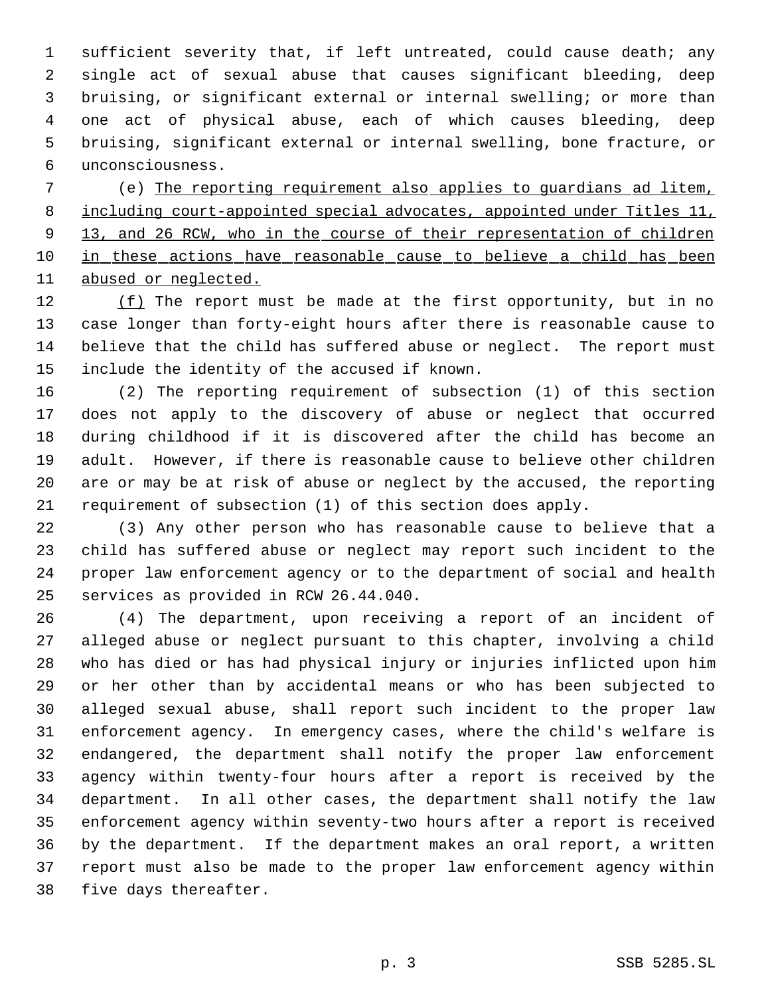sufficient severity that, if left untreated, could cause death; any single act of sexual abuse that causes significant bleeding, deep bruising, or significant external or internal swelling; or more than one act of physical abuse, each of which causes bleeding, deep bruising, significant external or internal swelling, bone fracture, or unconsciousness.

 (e) The reporting requirement also applies to guardians ad litem, including court-appointed special advocates, appointed under Titles 11, 9 13, and 26 RCW, who in the course of their representation of children 10 in these actions have reasonable cause to believe a child has been abused or neglected.

12 (f) The report must be made at the first opportunity, but in no case longer than forty-eight hours after there is reasonable cause to believe that the child has suffered abuse or neglect. The report must include the identity of the accused if known.

 (2) The reporting requirement of subsection (1) of this section does not apply to the discovery of abuse or neglect that occurred during childhood if it is discovered after the child has become an adult. However, if there is reasonable cause to believe other children are or may be at risk of abuse or neglect by the accused, the reporting requirement of subsection (1) of this section does apply.

 (3) Any other person who has reasonable cause to believe that a child has suffered abuse or neglect may report such incident to the proper law enforcement agency or to the department of social and health services as provided in RCW 26.44.040.

 (4) The department, upon receiving a report of an incident of alleged abuse or neglect pursuant to this chapter, involving a child who has died or has had physical injury or injuries inflicted upon him or her other than by accidental means or who has been subjected to alleged sexual abuse, shall report such incident to the proper law enforcement agency. In emergency cases, where the child's welfare is endangered, the department shall notify the proper law enforcement agency within twenty-four hours after a report is received by the department. In all other cases, the department shall notify the law enforcement agency within seventy-two hours after a report is received by the department. If the department makes an oral report, a written report must also be made to the proper law enforcement agency within five days thereafter.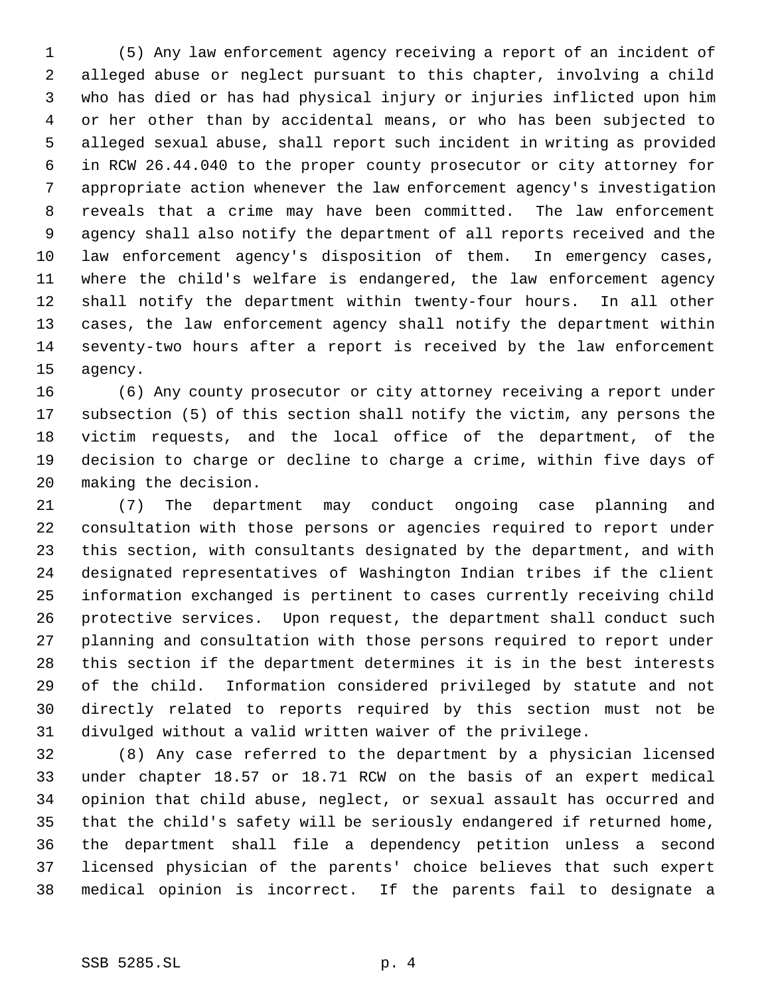(5) Any law enforcement agency receiving a report of an incident of alleged abuse or neglect pursuant to this chapter, involving a child who has died or has had physical injury or injuries inflicted upon him or her other than by accidental means, or who has been subjected to alleged sexual abuse, shall report such incident in writing as provided in RCW 26.44.040 to the proper county prosecutor or city attorney for appropriate action whenever the law enforcement agency's investigation reveals that a crime may have been committed. The law enforcement agency shall also notify the department of all reports received and the law enforcement agency's disposition of them. In emergency cases, where the child's welfare is endangered, the law enforcement agency shall notify the department within twenty-four hours. In all other cases, the law enforcement agency shall notify the department within seventy-two hours after a report is received by the law enforcement agency.

 (6) Any county prosecutor or city attorney receiving a report under subsection (5) of this section shall notify the victim, any persons the victim requests, and the local office of the department, of the decision to charge or decline to charge a crime, within five days of making the decision.

 (7) The department may conduct ongoing case planning and consultation with those persons or agencies required to report under this section, with consultants designated by the department, and with designated representatives of Washington Indian tribes if the client information exchanged is pertinent to cases currently receiving child protective services. Upon request, the department shall conduct such planning and consultation with those persons required to report under this section if the department determines it is in the best interests of the child. Information considered privileged by statute and not directly related to reports required by this section must not be divulged without a valid written waiver of the privilege.

 (8) Any case referred to the department by a physician licensed under chapter 18.57 or 18.71 RCW on the basis of an expert medical opinion that child abuse, neglect, or sexual assault has occurred and that the child's safety will be seriously endangered if returned home, the department shall file a dependency petition unless a second licensed physician of the parents' choice believes that such expert medical opinion is incorrect. If the parents fail to designate a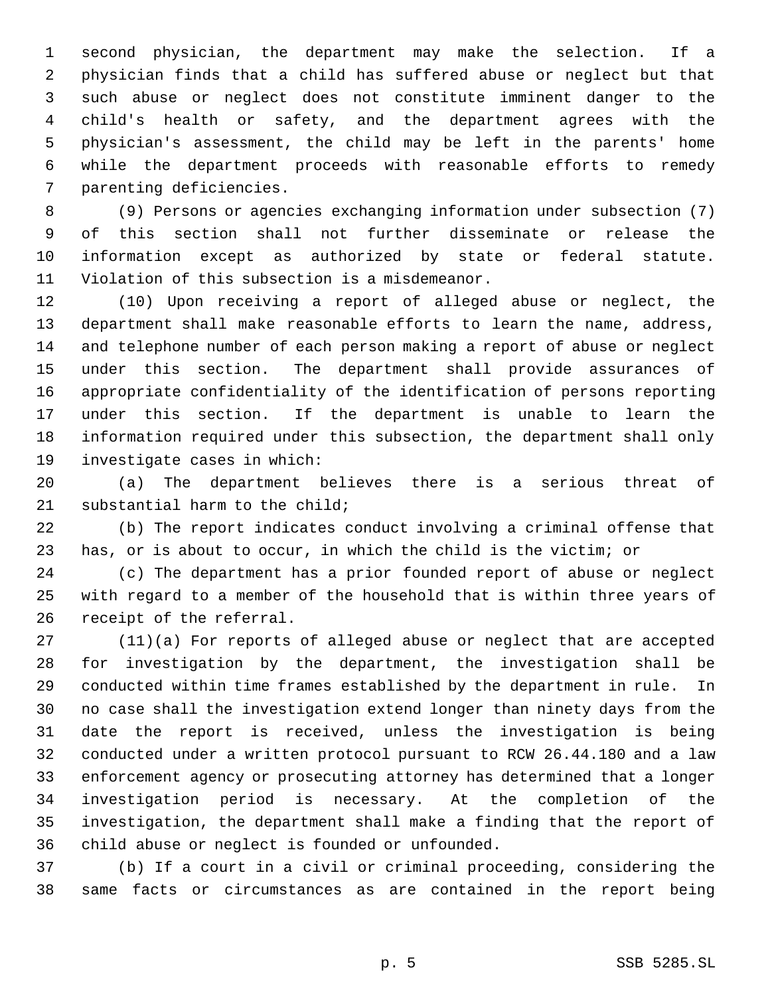second physician, the department may make the selection. If a physician finds that a child has suffered abuse or neglect but that such abuse or neglect does not constitute imminent danger to the child's health or safety, and the department agrees with the physician's assessment, the child may be left in the parents' home while the department proceeds with reasonable efforts to remedy parenting deficiencies.

 (9) Persons or agencies exchanging information under subsection (7) of this section shall not further disseminate or release the information except as authorized by state or federal statute. Violation of this subsection is a misdemeanor.

 (10) Upon receiving a report of alleged abuse or neglect, the department shall make reasonable efforts to learn the name, address, and telephone number of each person making a report of abuse or neglect under this section. The department shall provide assurances of appropriate confidentiality of the identification of persons reporting under this section. If the department is unable to learn the information required under this subsection, the department shall only investigate cases in which:

 (a) The department believes there is a serious threat of substantial harm to the child;

 (b) The report indicates conduct involving a criminal offense that has, or is about to occur, in which the child is the victim; or

 (c) The department has a prior founded report of abuse or neglect with regard to a member of the household that is within three years of receipt of the referral.

 (11)(a) For reports of alleged abuse or neglect that are accepted for investigation by the department, the investigation shall be conducted within time frames established by the department in rule. In no case shall the investigation extend longer than ninety days from the date the report is received, unless the investigation is being conducted under a written protocol pursuant to RCW 26.44.180 and a law enforcement agency or prosecuting attorney has determined that a longer investigation period is necessary. At the completion of the investigation, the department shall make a finding that the report of child abuse or neglect is founded or unfounded.

 (b) If a court in a civil or criminal proceeding, considering the same facts or circumstances as are contained in the report being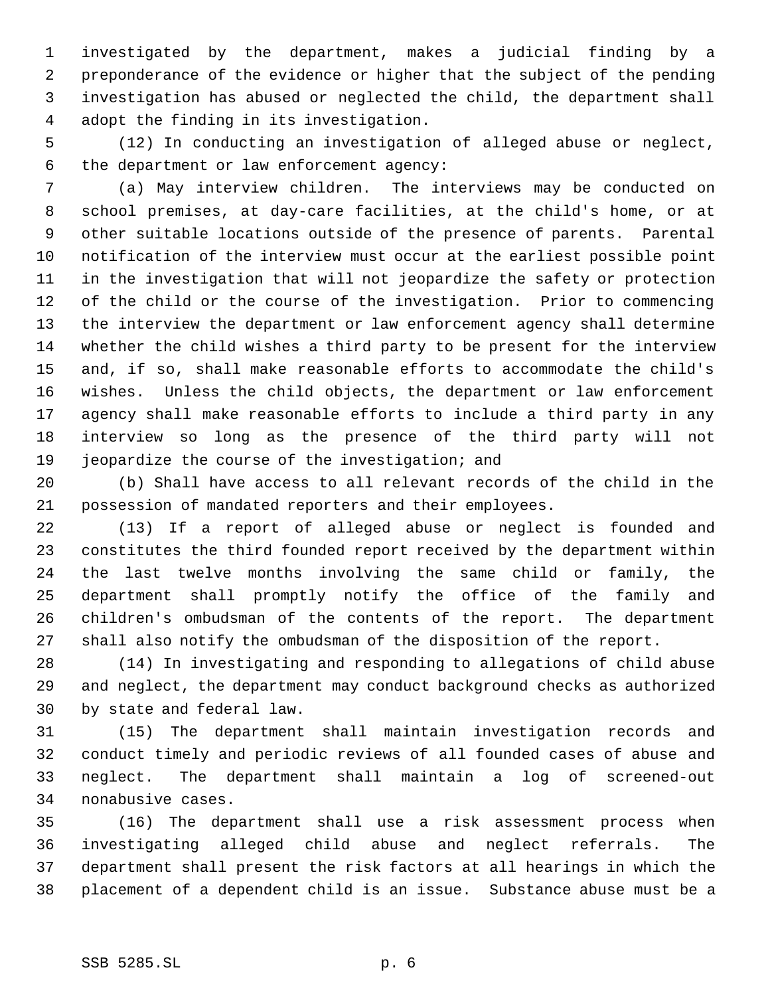investigated by the department, makes a judicial finding by a preponderance of the evidence or higher that the subject of the pending investigation has abused or neglected the child, the department shall adopt the finding in its investigation.

 (12) In conducting an investigation of alleged abuse or neglect, the department or law enforcement agency:

 (a) May interview children. The interviews may be conducted on school premises, at day-care facilities, at the child's home, or at other suitable locations outside of the presence of parents. Parental notification of the interview must occur at the earliest possible point in the investigation that will not jeopardize the safety or protection of the child or the course of the investigation. Prior to commencing the interview the department or law enforcement agency shall determine whether the child wishes a third party to be present for the interview and, if so, shall make reasonable efforts to accommodate the child's wishes. Unless the child objects, the department or law enforcement agency shall make reasonable efforts to include a third party in any interview so long as the presence of the third party will not jeopardize the course of the investigation; and

 (b) Shall have access to all relevant records of the child in the possession of mandated reporters and their employees.

 (13) If a report of alleged abuse or neglect is founded and constitutes the third founded report received by the department within the last twelve months involving the same child or family, the department shall promptly notify the office of the family and children's ombudsman of the contents of the report. The department shall also notify the ombudsman of the disposition of the report.

 (14) In investigating and responding to allegations of child abuse and neglect, the department may conduct background checks as authorized by state and federal law.

 (15) The department shall maintain investigation records and conduct timely and periodic reviews of all founded cases of abuse and neglect. The department shall maintain a log of screened-out nonabusive cases.

 (16) The department shall use a risk assessment process when investigating alleged child abuse and neglect referrals. The department shall present the risk factors at all hearings in which the placement of a dependent child is an issue. Substance abuse must be a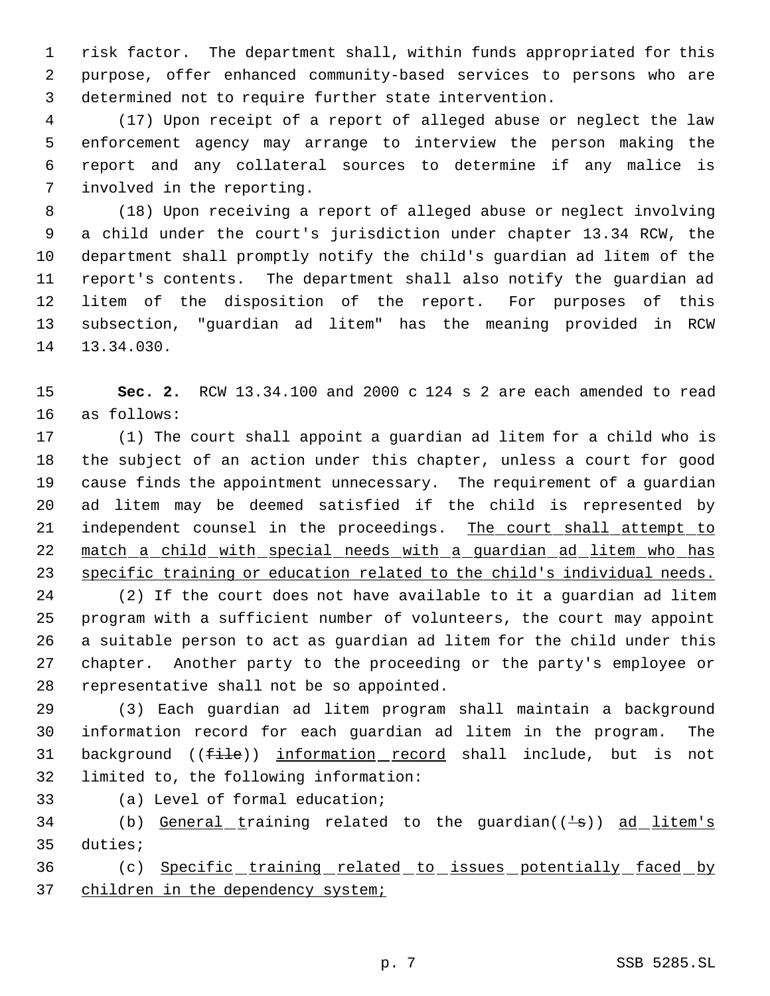risk factor. The department shall, within funds appropriated for this purpose, offer enhanced community-based services to persons who are determined not to require further state intervention.

 (17) Upon receipt of a report of alleged abuse or neglect the law enforcement agency may arrange to interview the person making the report and any collateral sources to determine if any malice is involved in the reporting.

 (18) Upon receiving a report of alleged abuse or neglect involving a child under the court's jurisdiction under chapter 13.34 RCW, the department shall promptly notify the child's guardian ad litem of the report's contents. The department shall also notify the guardian ad litem of the disposition of the report. For purposes of this subsection, "guardian ad litem" has the meaning provided in RCW 13.34.030.

 **Sec. 2.** RCW 13.34.100 and 2000 c 124 s 2 are each amended to read as follows:

 (1) The court shall appoint a guardian ad litem for a child who is the subject of an action under this chapter, unless a court for good cause finds the appointment unnecessary. The requirement of a guardian ad litem may be deemed satisfied if the child is represented by 21 independent counsel in the proceedings. The court shall attempt to match a child with special needs with a guardian ad litem who has specific training or education related to the child's individual needs.

 (2) If the court does not have available to it a guardian ad litem program with a sufficient number of volunteers, the court may appoint a suitable person to act as guardian ad litem for the child under this chapter. Another party to the proceeding or the party's employee or representative shall not be so appointed.

 (3) Each guardian ad litem program shall maintain a background information record for each guardian ad litem in the program. The 31 background ((file)) information record shall include, but is not limited to, the following information:

(a) Level of formal education;

34 (b) General training related to the guardian( $(\frac{1}{s})$ ) ad litem's duties;

 (c) Specific training related to issues potentially faced by 37 children in the dependency system;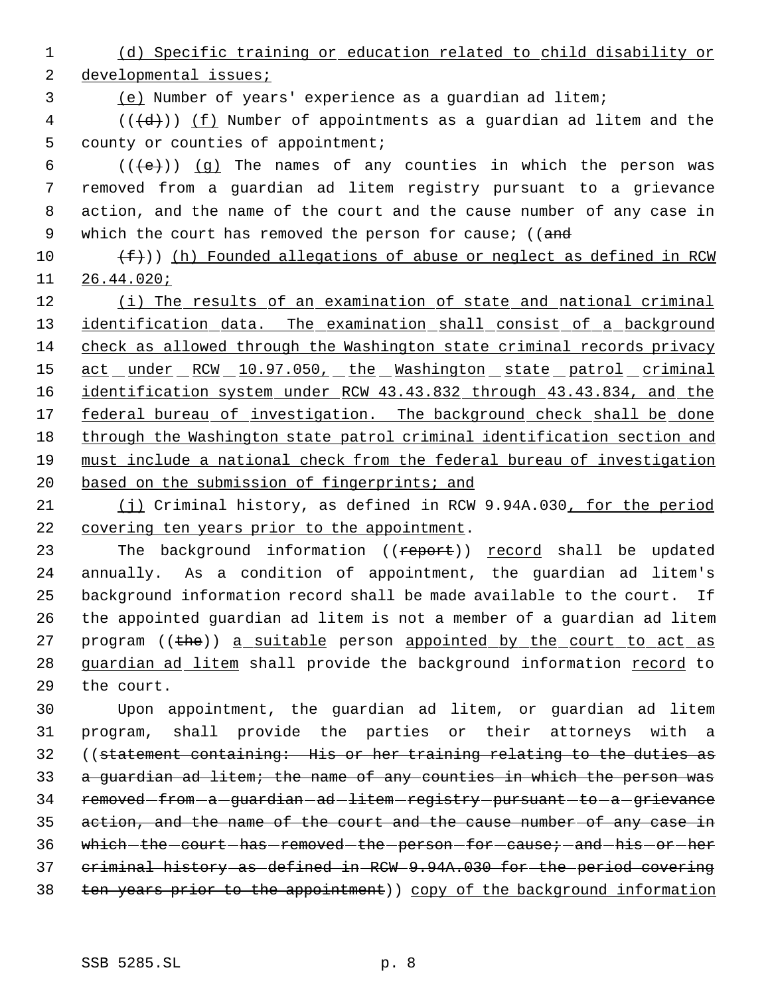(d) Specific training or education related to child disability or developmental issues;

(e) Number of years' experience as a guardian ad litem;

 (( $\left(\frac{d}{d}\right)$ ) <u>(f)</u> Number of appointments as a guardian ad litem and the county or counties of appointment;

 $((\{e\})\)$  (q) The names of any counties in which the person was removed from a guardian ad litem registry pursuant to a grievance action, and the name of the court and the cause number of any case in 9 which the court has removed the person for cause; ((and

 $(f)$  (h) Founded allegations of abuse or neglect as defined in RCW 26.44.020;

12 (i) The results of an examination of state and national criminal 13 identification data. The examination shall consist of a background check as allowed through the Washington state criminal records privacy 15 act under RCW 10.97.050, the Washington state patrol criminal identification system under RCW 43.43.832 through 43.43.834, and the 17 federal bureau of investigation. The background check shall be done through the Washington state patrol criminal identification section and must include a national check from the federal bureau of investigation 20 based on the submission of fingerprints; and

21 (i) Criminal history, as defined in RCW 9.94A.030, for the period covering ten years prior to the appointment.

23 The background information ((report)) record shall be updated annually. As a condition of appointment, the guardian ad litem's background information record shall be made available to the court. If the appointed guardian ad litem is not a member of a guardian ad litem 27 program ((the)) a suitable person appointed by the court to act as 28 guardian ad litem shall provide the background information record to the court.

 Upon appointment, the guardian ad litem, or guardian ad litem program, shall provide the parties or their attorneys with a ((statement containing: His or her training relating to the duties as a guardian ad litem; the name of any counties in which the person was 34 removed from a guardian ad litem registry pursuant to a grievance action, and the name of the court and the cause number of any case in 36 which-the-court-has-removed-the-person-for-cause; and his or her criminal history as defined in RCW 9.94A.030 for the period covering ten years prior to the appointment)) copy of the background information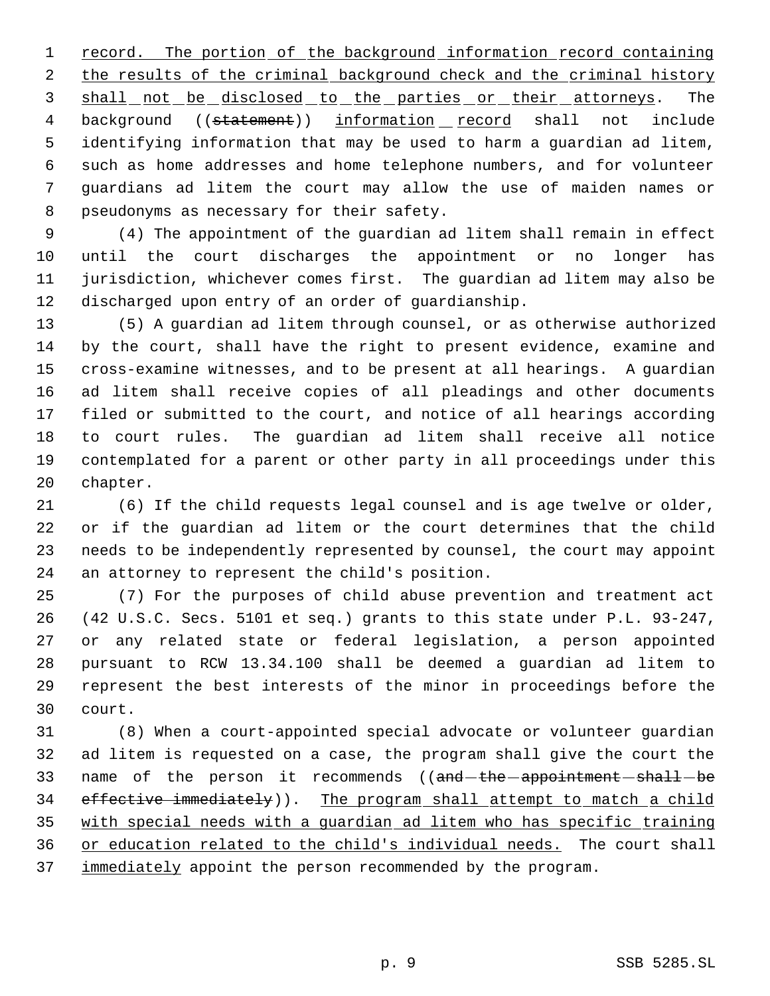1 record. The portion of the background information record containing 2 the results of the criminal background check and the criminal history 3 shall not be disclosed to the parties or their attorneys. The 4 background ((statement)) information record shall not include identifying information that may be used to harm a guardian ad litem, such as home addresses and home telephone numbers, and for volunteer guardians ad litem the court may allow the use of maiden names or pseudonyms as necessary for their safety.

 (4) The appointment of the guardian ad litem shall remain in effect until the court discharges the appointment or no longer has jurisdiction, whichever comes first. The guardian ad litem may also be discharged upon entry of an order of guardianship.

 (5) A guardian ad litem through counsel, or as otherwise authorized by the court, shall have the right to present evidence, examine and cross-examine witnesses, and to be present at all hearings. A guardian ad litem shall receive copies of all pleadings and other documents filed or submitted to the court, and notice of all hearings according to court rules. The guardian ad litem shall receive all notice contemplated for a parent or other party in all proceedings under this chapter.

 (6) If the child requests legal counsel and is age twelve or older, or if the guardian ad litem or the court determines that the child needs to be independently represented by counsel, the court may appoint an attorney to represent the child's position.

 (7) For the purposes of child abuse prevention and treatment act (42 U.S.C. Secs. 5101 et seq.) grants to this state under P.L. 93-247, or any related state or federal legislation, a person appointed pursuant to RCW 13.34.100 shall be deemed a guardian ad litem to represent the best interests of the minor in proceedings before the court.

 (8) When a court-appointed special advocate or volunteer guardian ad litem is requested on a case, the program shall give the court the 33 name of the person it recommends ((and-the-appointment-shall-be effective immediately)). The program shall attempt to match a child with special needs with a guardian ad litem who has specific training or education related to the child's individual needs. The court shall 37 immediately appoint the person recommended by the program.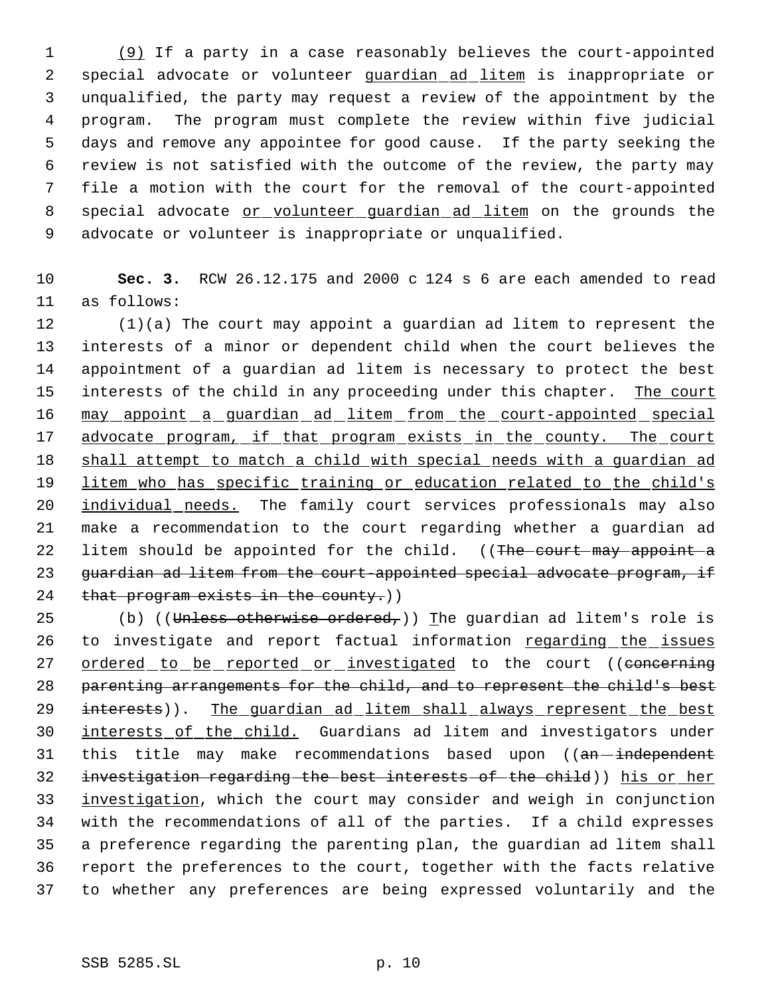(9) If a party in a case reasonably believes the court-appointed 2 special advocate or volunteer quardian ad litem is inappropriate or unqualified, the party may request a review of the appointment by the program. The program must complete the review within five judicial days and remove any appointee for good cause. If the party seeking the review is not satisfied with the outcome of the review, the party may file a motion with the court for the removal of the court-appointed 8 special advocate or volunteer guardian ad litem on the grounds the advocate or volunteer is inappropriate or unqualified.

10 **Sec. 3.** RCW 26.12.175 and 2000 c 124 s 6 are each amended to read 11 as follows:

12 (1)(a) The court may appoint a guardian ad litem to represent the 13 interests of a minor or dependent child when the court believes the 14 appointment of a guardian ad litem is necessary to protect the best 15 interests of the child in any proceeding under this chapter. The court 16 may appoint a guardian ad litem from the court-appointed special 17 advocate program, if that program exists in the county. The court 18 shall attempt to match a child with special needs with a quardian ad 19 litem who has specific training or education related to the child's 20 individual needs. The family court services professionals may also 21 make a recommendation to the court regarding whether a guardian ad 22 litem should be appointed for the child. ((The court may appoint a 23 guardian ad litem from the court-appointed special advocate program, if 24 that program exists in the county.)

25 (b) ((Unless otherwise ordered,)) The guardian ad litem's role is 26 to investigate and report factual information regarding the issues 27 ordered to be reported or investigated to the court ((concerning 28 parenting arrangements for the child, and to represent the child's best 29 interests)). The quardian ad litem shall always represent the best 30 interests of the child. Guardians ad litem and investigators under 31 this title may make recommendations based upon ((an-independent 32 investigation regarding the best interests of the child)) his or her 33 investigation, which the court may consider and weigh in conjunction 34 with the recommendations of all of the parties. If a child expresses 35 a preference regarding the parenting plan, the guardian ad litem shall 36 report the preferences to the court, together with the facts relative 37 to whether any preferences are being expressed voluntarily and the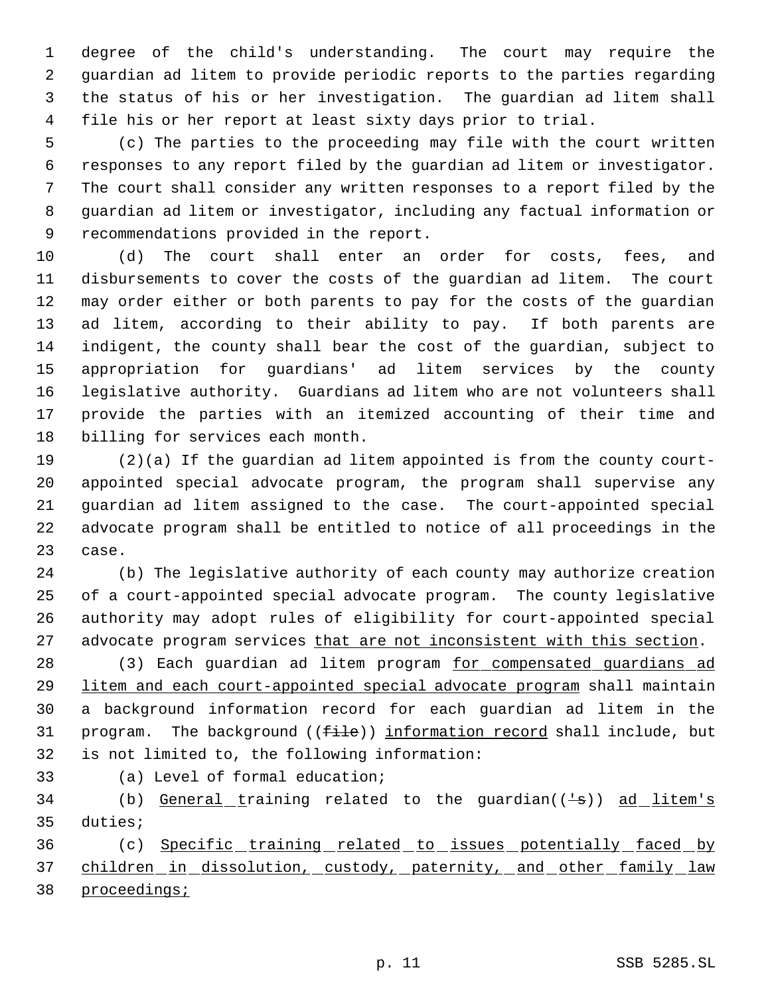degree of the child's understanding. The court may require the guardian ad litem to provide periodic reports to the parties regarding the status of his or her investigation. The guardian ad litem shall file his or her report at least sixty days prior to trial.

 (c) The parties to the proceeding may file with the court written responses to any report filed by the guardian ad litem or investigator. The court shall consider any written responses to a report filed by the guardian ad litem or investigator, including any factual information or recommendations provided in the report.

 (d) The court shall enter an order for costs, fees, and disbursements to cover the costs of the guardian ad litem. The court may order either or both parents to pay for the costs of the guardian ad litem, according to their ability to pay. If both parents are indigent, the county shall bear the cost of the guardian, subject to appropriation for guardians' ad litem services by the county legislative authority. Guardians ad litem who are not volunteers shall provide the parties with an itemized accounting of their time and billing for services each month.

 (2)(a) If the guardian ad litem appointed is from the county court- appointed special advocate program, the program shall supervise any guardian ad litem assigned to the case. The court-appointed special advocate program shall be entitled to notice of all proceedings in the case.

 (b) The legislative authority of each county may authorize creation of a court-appointed special advocate program. The county legislative authority may adopt rules of eligibility for court-appointed special 27 advocate program services that are not inconsistent with this section.

28 (3) Each guardian ad litem program for compensated guardians ad litem and each court-appointed special advocate program shall maintain a background information record for each guardian ad litem in the 31 program. The background ((file)) information record shall include, but is not limited to, the following information:

(a) Level of formal education;

34 (b) General training related to the guardian((+s)) ad litem's duties;

 (c) Specific training related to issues potentially faced by 37 children in dissolution, custody, paternity, and other family law proceedings;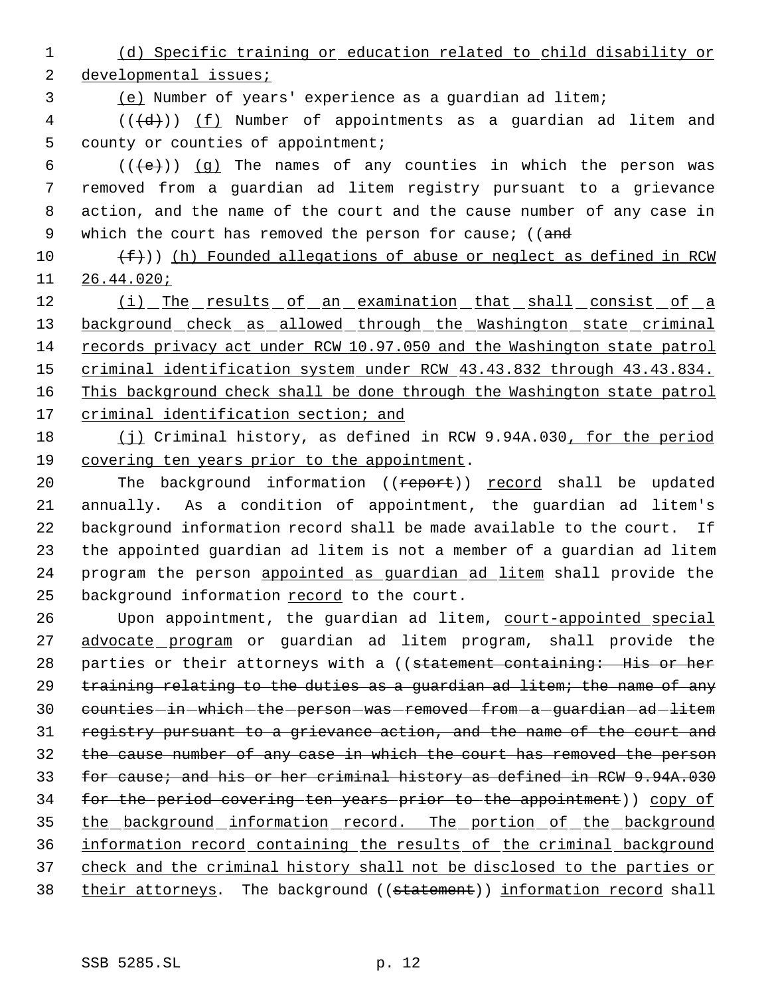1 (d) Specific training or education related to child disability or 2 developmental issues;

3 (e) Number of years' experience as a guardian ad litem;

 $4$  (( $\left(\frac{d}{d}\right)$ ) <u>(f)</u> Number of appointments as a guardian ad litem and 5 county or counties of appointment;

 $((\{e\})\)$  (q) The names of any counties in which the person was removed from a guardian ad litem registry pursuant to a grievance action, and the name of the court and the cause number of any case in 9 which the court has removed the person for cause; ((and

10  $(f+))$  (h) Founded allegations of abuse or neglect as defined in RCW 11 26.44.020;

12 (i) The results of an examination that shall consist of a 13 background check as allowed through the Washington state criminal 14 records privacy act under RCW 10.97.050 and the Washington state patrol 15 criminal identification system under RCW 43.43.832 through 43.43.834. 16 This background check shall be done through the Washington state patrol 17 criminal identification section; and

18 (j) Criminal history, as defined in RCW 9.94A.030, for the period 19 covering ten years prior to the appointment.

20 The background information ((report)) record shall be updated annually. As a condition of appointment, the guardian ad litem's background information record shall be made available to the court. If the appointed guardian ad litem is not a member of a guardian ad litem program the person appointed as guardian ad litem shall provide the background information record to the court.

26 Upon appointment, the guardian ad litem, court-appointed special 27 advocate program or guardian ad litem program, shall provide the 28 parties or their attorneys with a ((statement containing: His or her 29 training relating to the duties as a guardian ad litem; the name of any 30 counties in which the person was removed from a guardian ad litem 31 registry pursuant to a grievance action, and the name of the court and 32 the cause number of any case in which the court has removed the person 33 for cause; and his or her criminal history as defined in RCW 9.94A.030 34 for the period covering ten years prior to the appointment)) copy of 35 the background information record. The portion of the background 36 information record containing the results of the criminal background 37 check and the criminal history shall not be disclosed to the parties or 38 their attorneys. The background ((statement)) information record shall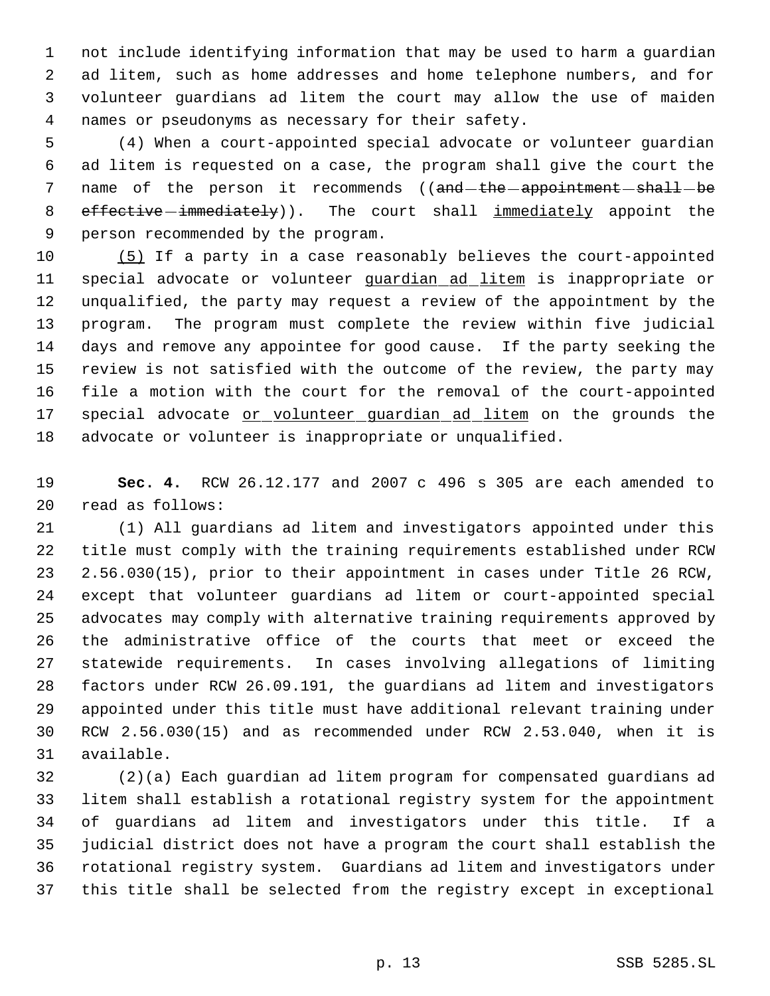not include identifying information that may be used to harm a guardian ad litem, such as home addresses and home telephone numbers, and for volunteer guardians ad litem the court may allow the use of maiden names or pseudonyms as necessary for their safety.

 (4) When a court-appointed special advocate or volunteer guardian ad litem is requested on a case, the program shall give the court the 7 name of the person it recommends ((and-the-appointment-shall-be 8 effective immediately)). The court shall immediately appoint the person recommended by the program.

 (5) If a party in a case reasonably believes the court-appointed 11 special advocate or volunteer quardian ad litem is inappropriate or unqualified, the party may request a review of the appointment by the program. The program must complete the review within five judicial days and remove any appointee for good cause. If the party seeking the review is not satisfied with the outcome of the review, the party may file a motion with the court for the removal of the court-appointed 17 special advocate or volunteer guardian ad litem on the grounds the advocate or volunteer is inappropriate or unqualified.

 **Sec. 4.** RCW 26.12.177 and 2007 c 496 s 305 are each amended to read as follows:

 (1) All guardians ad litem and investigators appointed under this title must comply with the training requirements established under RCW 2.56.030(15), prior to their appointment in cases under Title 26 RCW, except that volunteer guardians ad litem or court-appointed special advocates may comply with alternative training requirements approved by the administrative office of the courts that meet or exceed the statewide requirements. In cases involving allegations of limiting factors under RCW 26.09.191, the guardians ad litem and investigators appointed under this title must have additional relevant training under RCW 2.56.030(15) and as recommended under RCW 2.53.040, when it is available.

 (2)(a) Each guardian ad litem program for compensated guardians ad litem shall establish a rotational registry system for the appointment of guardians ad litem and investigators under this title. If a judicial district does not have a program the court shall establish the rotational registry system. Guardians ad litem and investigators under this title shall be selected from the registry except in exceptional